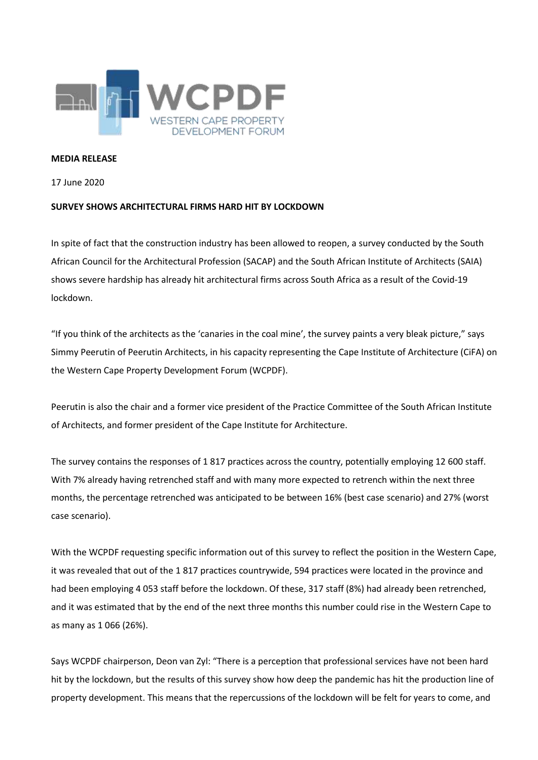

## **MEDIA RELEASE**

17 June 2020

## **SURVEY SHOWS ARCHITECTURAL FIRMS HARD HIT BY LOCKDOWN**

In spite of fact that the construction industry has been allowed to reopen, a survey conducted by the South African Council for the Architectural Profession (SACAP) and the South African Institute of Architects (SAIA) shows severe hardship has already hit architectural firms across South Africa as a result of the Covid-19 lockdown.

"If you think of the architects as the 'canaries in the coal mine', the survey paints a very bleak picture," says Simmy Peerutin of Peerutin Architects, in his capacity representing the Cape Institute of Architecture (CiFA) on the Western Cape Property Development Forum (WCPDF).

Peerutin is also the chair and a former vice president of the Practice Committee of the South African Institute of Architects, and former president of the Cape Institute for Architecture.

The survey contains the responses of 1 817 practices across the country, potentially employing 12 600 staff. With 7% already having retrenched staff and with many more expected to retrench within the next three months, the percentage retrenched was anticipated to be between 16% (best case scenario) and 27% (worst case scenario).

With the WCPDF requesting specific information out of this survey to reflect the position in the Western Cape, it was revealed that out of the 1 817 practices countrywide, 594 practices were located in the province and had been employing 4 053 staff before the lockdown. Of these, 317 staff (8%) had already been retrenched, and it was estimated that by the end of the next three months this number could rise in the Western Cape to as many as 1 066 (26%).

Says WCPDF chairperson, Deon van Zyl: "There is a perception that professional services have not been hard hit by the lockdown, but the results of this survey show how deep the pandemic has hit the production line of property development. This means that the repercussions of the lockdown will be felt for years to come, and